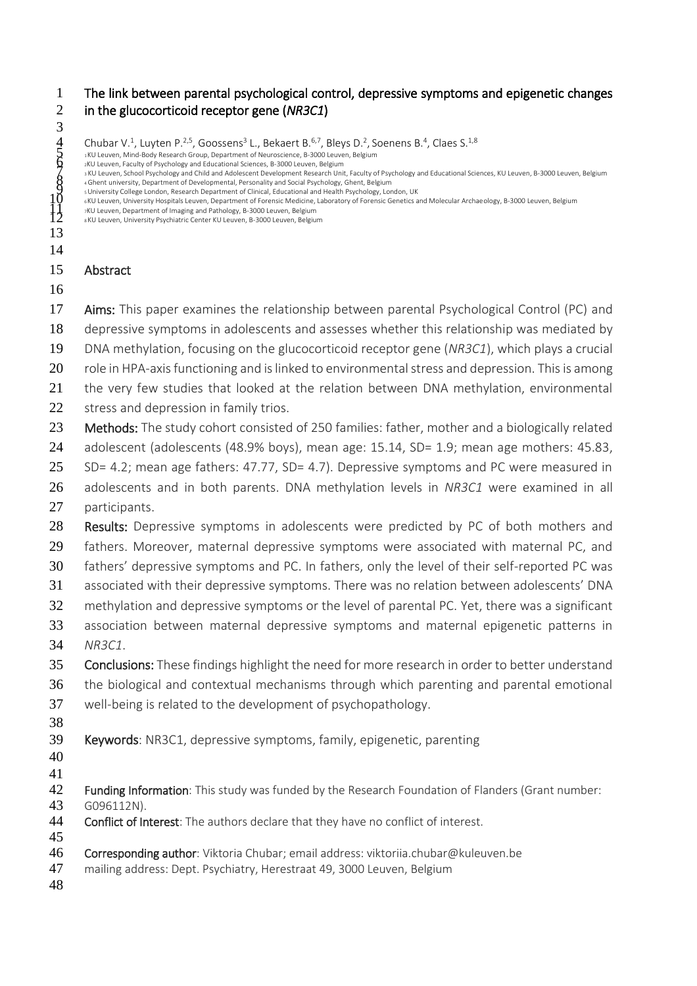The link between parental psychological control, depressive symptoms and epigenetic changes in the glucocorticoid receptor gene (*NR3C1*)

3<br>45<br>5<br>5<br>9<br>2<br>1<br>2  $\,$  Chubar V. $^1$ , Luyten P. $^{2,5}$ , Goossens $^3$  L., Bekaert B. $^{6,7}$ , Bleys D. $^2$ , Soenens B. $^4$ , Claes S. $^{1,8}$  <sup>1</sup> KU Leuven, Mind-Body Research Group, Department of Neuroscience, B-3000 Leuven, Belgium s KU Leuven, School Psychology and Child and Adolescent Development Research Unit, Faculty of Psychology and Educational Sciences, KU Leuven, B-3000 Leuven, Belgium<br>
s University College London, Research Department of Clin Abstract 17 Aims: This paper examines the relationship between parental Psychological Control (PC) and depressive symptoms in adolescents and assesses whether this relationship was mediated by DNA methylation, focusing on the glucocorticoid receptor gene (*NR3C1*), which plays a crucial 20 role in HPA-axis functioning and is linked to environmental stress and depression. This is among 21 the very few studies that looked at the relation between DNA methylation, environmental 22 stress and depression in family trios. 23 Methods: The study cohort consisted of 250 families: father, mother and a biologically related 24 adolescent (adolescents (48.9% boys), mean age: 15.14, SD= 1.9; mean age mothers: 45.83, 25 SD= 4.2; mean age fathers: 47.77, SD= 4.7). Depressive symptoms and PC were measured in adolescents and in both parents. DNA methylation levels in *NR3C1* were examined in all participants. 28 Results: Depressive symptoms in adolescents were predicted by PC of both mothers and fathers. Moreover, maternal depressive symptoms were associated with maternal PC, and fathers' depressive symptoms and PC. In fathers, only the level of their self-reported PC was associated with their depressive symptoms. There was no relation between adolescents' DNA 32 methylation and depressive symptoms or the level of parental PC. Yet, there was a significant association between maternal depressive symptoms and maternal epigenetic patterns in *NR3C1*. 35 Conclusions: These findings highlight the need for more research in order to better understand the biological and contextual mechanisms through which parenting and parental emotional well-being is related to the development of psychopathology. Keywords: NR3C1, depressive symptoms, family, epigenetic, parenting 42 Funding Information: This study was funded by the Research Foundation of Flanders (Grant number: G096112N). 44 Conflict of Interest: The authors declare that they have no conflict of interest. Corresponding author: Viktoria Chubar; email address: viktoriia.chubar@kuleuven.be mailing address: Dept. Psychiatry, Herestraat 49, 3000 Leuven, Belgium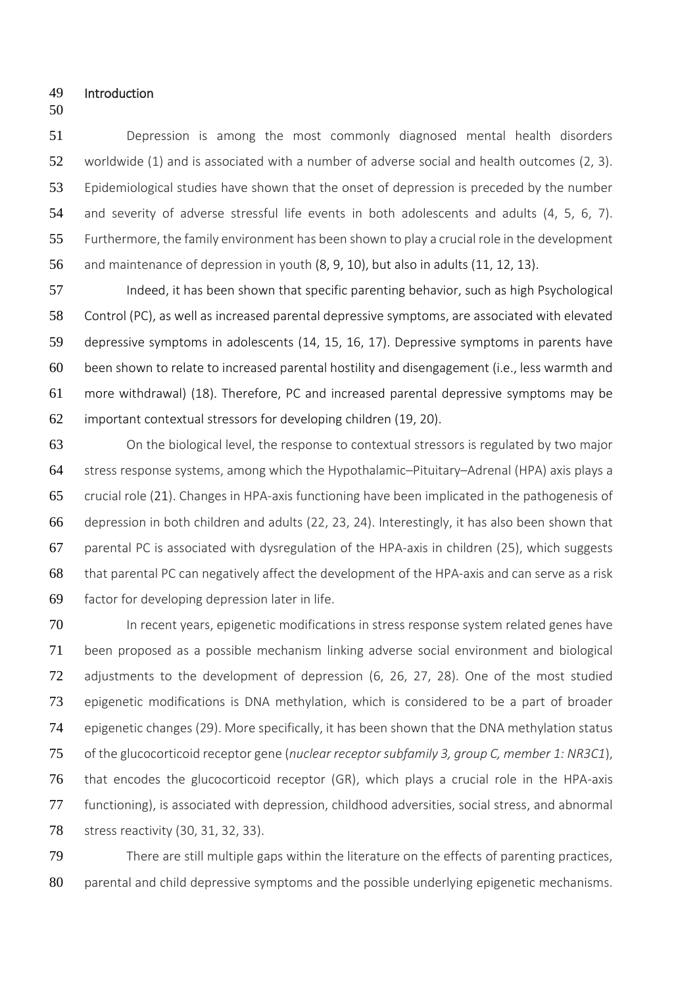- Introduction
- 

 Depression is among the most commonly diagnosed mental health disorders worldwide (1) and is associated with a number of adverse social and health outcomes (2, 3). Epidemiological studies have shown that the onset of depression is preceded by the number and severity of adverse stressful life events in both adolescents and adults (4, 5, 6, 7). Furthermore, the family environment has been shown to play a crucial role in the development and maintenance of depression in youth (8, 9, 10), but also in adults (11, 12, 13).

57 Indeed, it has been shown that specific parenting behavior, such as high Psychological Control (PC), as well as increased parental depressive symptoms, are associated with elevated depressive symptoms in adolescents (14, 15, 16, 17). Depressive symptoms in parents have been shown to relate to increased parental hostility and disengagement (i.e., less warmth and more withdrawal) (18). Therefore, PC and increased parental depressive symptoms may be important contextual stressors for developing children (19, 20).

 On the biological level, the response to contextual stressors is regulated by two major stress response systems, among which the Hypothalamic–Pituitary–Adrenal (HPA) axis plays a crucial role (21). Changes in HPA-axis functioning have been implicated in the pathogenesis of depression in both children and adults (22, 23, 24). Interestingly, it has also been shown that parental PC is associated with dysregulation of the HPA-axis in children (25), which suggests that parental PC can negatively affect the development of the HPA-axis and can serve as a risk factor for developing depression later in life.

70 In recent years, epigenetic modifications in stress response system related genes have been proposed as a possible mechanism linking adverse social environment and biological adjustments to the development of depression (6, 26, 27, 28). One of the most studied epigenetic modifications is DNA methylation, which is considered to be a part of broader epigenetic changes (29). More specifically, it has been shown that the DNA methylation status of the glucocorticoid receptor gene (*nuclear receptor subfamily 3, group C, member 1: NR3C1*), that encodes the glucocorticoid receptor (GR), which plays a crucial role in the HPA-axis functioning), is associated with depression, childhood adversities, social stress, and abnormal 78 stress reactivity (30, 31, 32, 33).

79 There are still multiple gaps within the literature on the effects of parenting practices, 80 parental and child depressive symptoms and the possible underlying epigenetic mechanisms.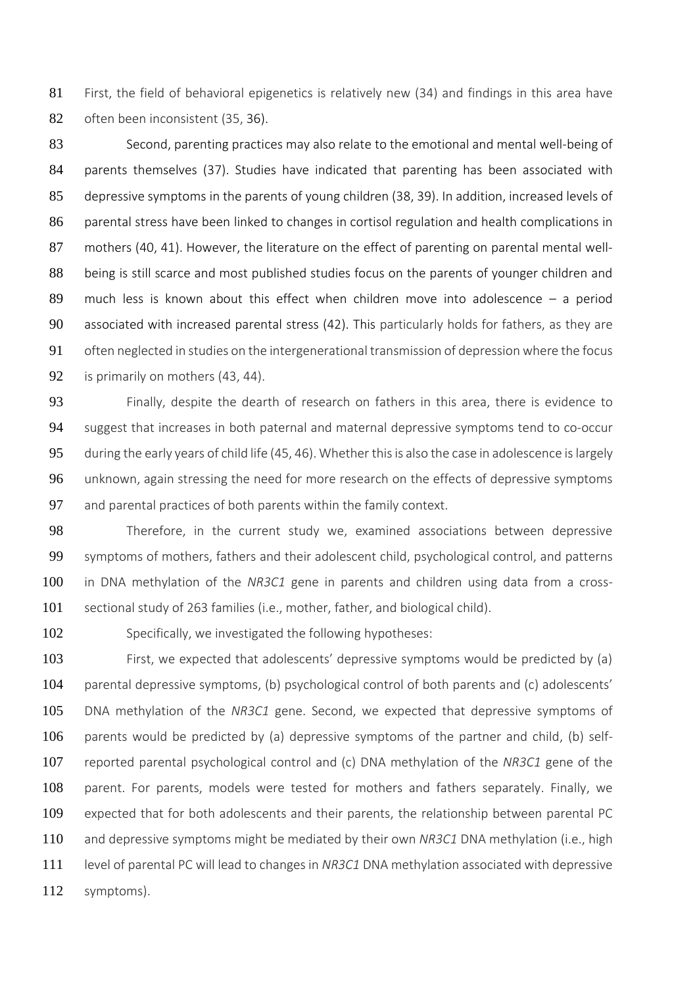81 First, the field of behavioral epigenetics is relatively new (34) and findings in this area have often been inconsistent (35, 36).

 Second, parenting practices may also relate to the emotional and mental well-being of parents themselves (37). Studies have indicated that parenting has been associated with depressive symptoms in the parents of young children (38, 39). In addition, increased levels of parental stress have been linked to changes in cortisol regulation and health complications in 87 mothers (40, 41). However, the literature on the effect of parenting on parental mental well- being is still scarce and most published studies focus on the parents of younger children and much less is known about this effect when children move into adolescence – a period associated with increased parental stress (42). This particularly holds for fathers, as they are often neglected in studies on the intergenerational transmission of depression where the focus 92 is primarily on mothers (43, 44).

 Finally, despite the dearth of research on fathers in this area, there is evidence to suggest that increases in both paternal and maternal depressive symptoms tend to co-occur during the early years of child life (45, 46). Whether this is also the case in adolescence is largely 96 unknown, again stressing the need for more research on the effects of depressive symptoms 97 and parental practices of both parents within the family context.

98 Therefore, in the current study we, examined associations between depressive symptoms of mothers, fathers and their adolescent child, psychological control, and patterns in DNA methylation of the *NR3C1* gene in parents and children using data from a cross-sectional study of 263 families (i.e., mother, father, and biological child).

Specifically, we investigated the following hypotheses:

 First, we expected that adolescents' depressive symptoms would be predicted by (a) parental depressive symptoms, (b) psychological control of both parents and (c) adolescents' DNA methylation of the *NR3C1* gene. Second, we expected that depressive symptoms of parents would be predicted by (a) depressive symptoms of the partner and child, (b) self- reported parental psychological control and (c) DNA methylation of the *NR3C1* gene of the parent. For parents, models were tested for mothers and fathers separately. Finally, we expected that for both adolescents and their parents, the relationship between parental PC and depressive symptoms might be mediated by their own *NR3C1* DNA methylation (i.e., high level of parental PC will lead to changes in *NR3C1* DNA methylation associated with depressive symptoms).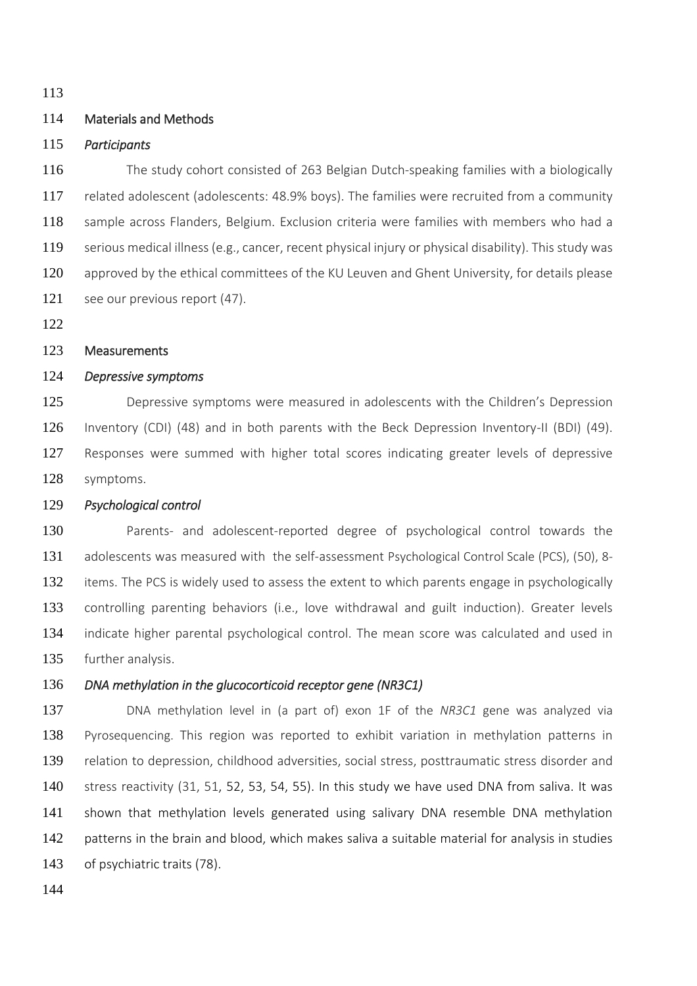# Materials and Methods

## *Participants*

 The study cohort consisted of 263 Belgian Dutch-speaking families with a biologically related adolescent (adolescents: 48.9% boys). The families were recruited from a community sample across Flanders, Belgium. Exclusion criteria were families with members who had a serious medical illness (e.g., cancer, recent physical injury or physical disability). This study was approved by the ethical committees of the KU Leuven and Ghent University, for details please see our previous report (47).

# Measurements

# *Depressive symptoms*

125 Depressive symptoms were measured in adolescents with the Children's Depression Inventory (CDI) (48) and in both parents with the Beck Depression Inventory-II (BDI) (49). Responses were summed with higher total scores indicating greater levels of depressive symptoms.

## *Psychological control*

 Parents- and adolescent-reported degree of psychological control towards the adolescents was measured with the self-assessment Psychological Control Scale (PCS), (50), 8- 132 items. The PCS is widely used to assess the extent to which parents engage in psychologically controlling parenting behaviors (i.e., love withdrawal and guilt induction). Greater levels 134 indicate higher parental psychological control. The mean score was calculated and used in further analysis.

# *DNA methylation in the glucocorticoid receptor gene (NR3C1)*

 DNA methylation level in (a part of) exon 1F of the *NR3C1* gene was analyzed via Pyrosequencing. This region was reported to exhibit variation in methylation patterns in relation to depression, childhood adversities, social stress, posttraumatic stress disorder and stress reactivity (31, 51, 52, 53, 54, 55). In this study we have used DNA from saliva. It was shown that methylation levels generated using salivary DNA resemble DNA methylation 142 patterns in the brain and blood, which makes saliva a suitable material for analysis in studies of psychiatric traits (78).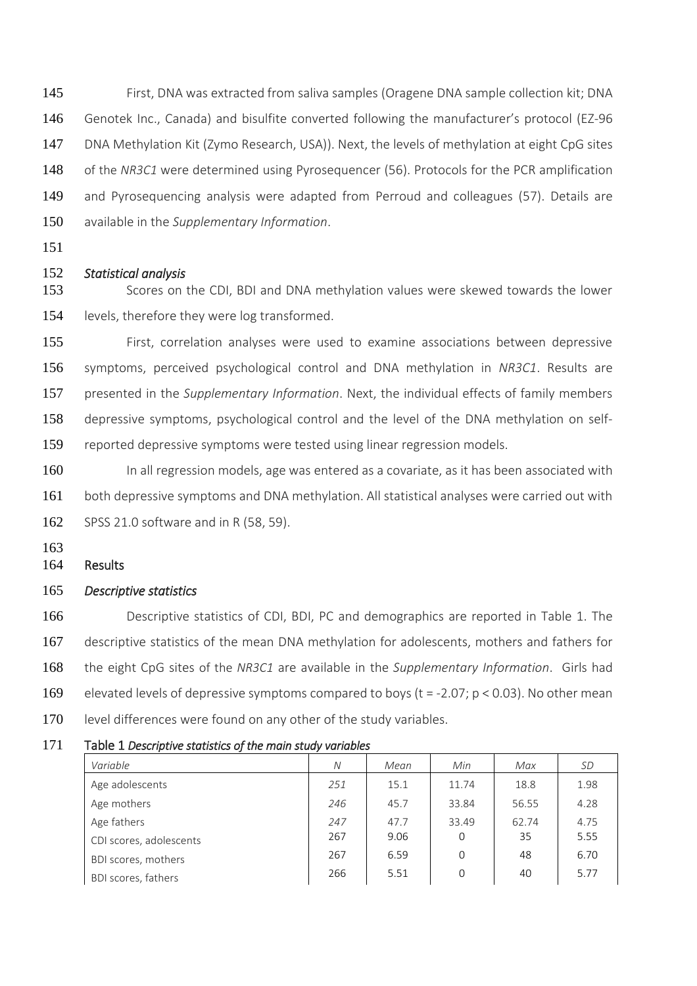First, DNA was extracted from saliva samples (Oragene DNA sample collection kit; DNA Genotek Inc., Canada) and bisulfite converted following the manufacturer's protocol (EZ-96 DNA Methylation Kit (Zymo Research, USA)). Next, the levels of methylation at eight CpG sites of the *NR3C1* were determined using Pyrosequencer (56). Protocols for the PCR amplification and Pyrosequencing analysis were adapted from Perroud and colleagues (57). Details are available in the *Supplementary Information*.

# *Statistical analysis*

 Scores on the CDI, BDI and DNA methylation values were skewed towards the lower 154 levels, therefore they were log transformed.

 First, correlation analyses were used to examine associations between depressive symptoms, perceived psychological control and DNA methylation in *NR3C1*. Results are presented in the *Supplementary Information*. Next, the individual effects of family members depressive symptoms, psychological control and the level of the DNA methylation on self-reported depressive symptoms were tested using linear regression models.

160 In all regression models, age was entered as a covariate, as it has been associated with 161 both depressive symptoms and DNA methylation. All statistical analyses were carried out with SPSS 21.0 software and in R (58, 59).

### Results

#### *Descriptive statistics*

 Descriptive statistics of CDI, BDI, PC and demographics are reported in Table 1. The 167 descriptive statistics of the mean DNA methylation for adolescents, mothers and fathers for the eight CpG sites of the *NR3C1* are available in the *Supplementary Information*. Girls had elevated levels of depressive symptoms compared to boys (t = -2.07; p < 0.03). No other mean 170 level differences were found on any other of the study variables.

| , and a succept part of countries of the main could frameword |     |      |       |       |           |
|---------------------------------------------------------------|-----|------|-------|-------|-----------|
| Variable                                                      | N   | Mean | Min   | Max   | <i>SD</i> |
| Age adolescents                                               | 251 | 15.1 | 11.74 | 18.8  | 1.98      |
| Age mothers                                                   | 246 | 45.7 | 33.84 | 56.55 | 4.28      |
| Age fathers                                                   | 247 | 47.7 | 33.49 | 62.74 | 4.75      |
| CDI scores, adolescents                                       | 267 | 9.06 | 0     | 35    | 5.55      |
| BDI scores, mothers                                           | 267 | 6.59 | 0     | 48    | 6.70      |
| BDI scores, fathers                                           | 266 | 5.51 | 0     | 40    | 5.77      |
|                                                               |     |      |       |       |           |

#### Table 1 *Descriptive statistics of the main study variables*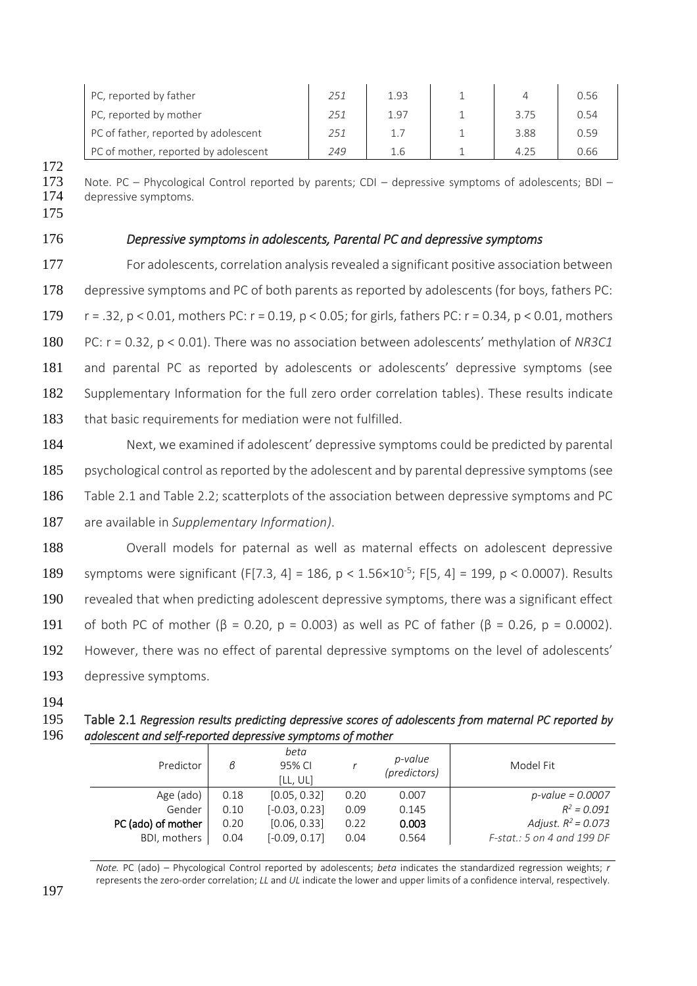| PC, reported by father               | 251 | 1.93 |      | 0.56 |
|--------------------------------------|-----|------|------|------|
| PC, reported by mother               | 251 | 1.97 | 3.75 | 0.54 |
| PC of father, reported by adolescent | 251 |      | 3.88 | 0.59 |
| PC of mother, reported by adolescent | 249 | 1.6  | 4.25 | 0.66 |

173 Note. PC – Phycological Control reported by parents; CDI – depressive symptoms of adolescents; BDI – 174 depressive symptoms.

175

172

# 176 *Depressive symptoms in adolescents, Parental PC and depressive symptoms*

**For adolescents, correlation analysis revealed a significant positive association between**  depressive symptoms and PC of both parents as reported by adolescents (for boys, fathers PC: r = .32, p < 0.01, mothers PC: r = 0.19, p < 0.05; for girls, fathers PC: r = 0.34, p < 0.01, mothers PC: r = 0.32, p < 0.01). There was no association between adolescents' methylation of *NR3C1* and parental PC as reported by adolescents or adolescents' depressive symptoms (see Supplementary Information for the full zero order correlation tables). These results indicate 183 that basic requirements for mediation were not fulfilled.

 Next, we examined if adolescent' depressive symptoms could be predicted by parental psychological control as reported by the adolescent and by parental depressive symptoms (see Table 2.1 and Table 2.2; scatterplots of the association between depressive symptoms and PC are available in *Supplementary Information)*.

 Overall models for paternal as well as maternal effects on adolescent depressive 189 symptoms were significant (F[7.3, 4] = 186, p < 1.56×10<sup>-5</sup>; F[5, 4] = 199, p < 0.0007). Results revealed that when predicting adolescent depressive symptoms, there was a significant effect 191 of both PC of mother ( $\beta = 0.20$ , p = 0.003) as well as PC of father ( $\beta = 0.26$ , p = 0.0002). However, there was no effect of parental depressive symptoms on the level of adolescents' depressive symptoms.

194

195 Table 2.1 *Regression results predicting depressive scores of adolescents from maternal PC reported by*  196 *adolescent and self-reported depressive symptoms of mother* 

| Predictor          | в    | beta<br>95% CI<br>[LL, UL] |      | p-value<br>(predictors) | Model Fit                  |
|--------------------|------|----------------------------|------|-------------------------|----------------------------|
| Age (ado)          | 0.18 | [0.05, 0.32]               | 0.20 | 0.007                   | $p$ -value = 0.0007        |
| Gender             | 0.10 | $[-0.03, 0.23]$            | 0.09 | 0.145                   | $R^2 = 0.091$              |
| PC (ado) of mother | 0.20 | [0.06, 0.33]               | 0.22 | 0.003                   | Adjust. $R^2 = 0.073$      |
| BDI, mothers       | 0.04 | $[-0.09, 0.17]$            | 0.04 | 0.564                   | F-stat.: 5 on 4 and 199 DF |

*Note.* PC (ado) – Phycological Control reported by adolescents; *beta* indicates the standardized regression weights; *r* represents the zero-order correlation; *LL* and *UL* indicate the lower and upper limits of a confidence interval, respectively.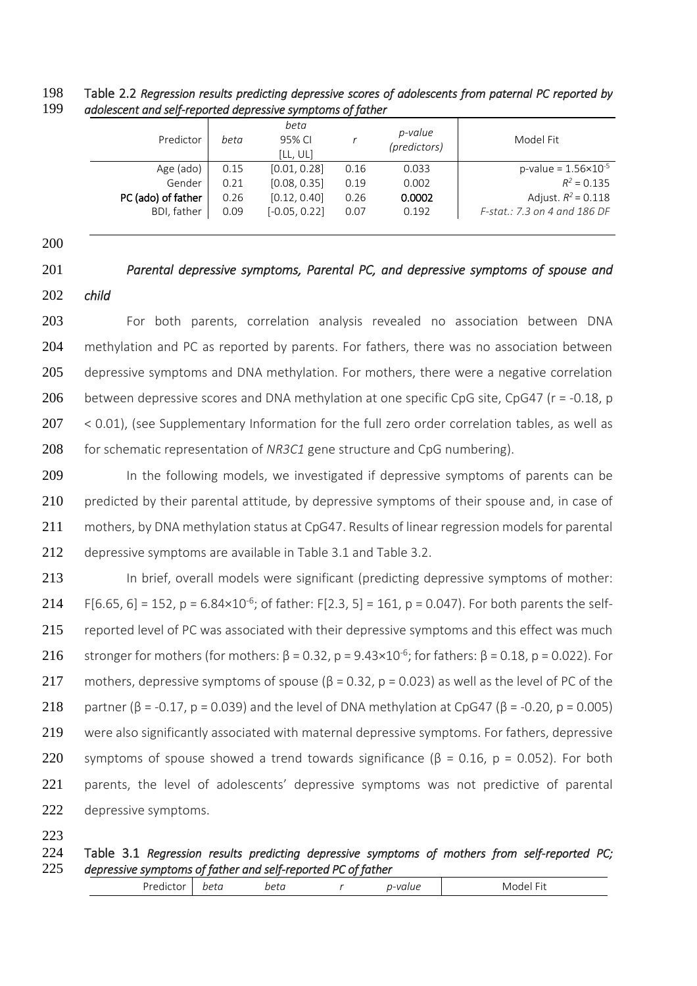# 198 Table 2.2 *Regression results predicting depressive scores of adolescents from paternal PC reported by*  199 *adolescent and self-reported depressive symptoms of father*

| Predictor          | beta | beta<br>95% CI<br>[LL, UL] |      | p-value<br>(predictors) | Model Fit                       |
|--------------------|------|----------------------------|------|-------------------------|---------------------------------|
| Age (ado)          | 0.15 | [0.01, 0.28]               | 0.16 | 0.033                   | p-value = $1.56 \times 10^{-5}$ |
| Gender             | 0.21 | [0.08, 0.35]               | 0.19 | 0.002                   | $R^2 = 0.135$                   |
| PC (ado) of father | 0.26 | [0.12, 0.40]               | 0.26 | 0.0002                  | Adjust. $R^2$ = 0.118           |
| BDI, father        | 0.09 | $[-0.05, 0.22]$            | 0.07 | 0.192                   | F-stat.: 7.3 on 4 and 186 DF    |
|                    |      |                            |      |                         |                                 |

200

201 *Parental depressive symptoms, Parental PC, and depressive symptoms of spouse and*  202 *child* 

203 For both parents, correlation analysis revealed no association between DNA 204 methylation and PC as reported by parents. For fathers, there was no association between 205 depressive symptoms and DNA methylation. For mothers, there were a negative correlation 206 between depressive scores and DNA methylation at one specific CpG site, CpG47 ( $r = -0.18$ , p 207 < 0.01), (see Supplementary Information for the full zero order correlation tables, as well as 208 for schematic representation of *NR3C1* gene structure and CpG numbering).

209 In the following models, we investigated if depressive symptoms of parents can be 210 predicted by their parental attitude, by depressive symptoms of their spouse and, in case of 211 mothers, by DNA methylation status at CpG47. Results of linear regression models for parental 212 depressive symptoms are available in Table 3.1 and Table 3.2.

213 In brief, overall models were significant (predicting depressive symptoms of mother: 214 F[6.65, 6] = 152, p = 6.84×10<sup>-6</sup>; of father: F[2.3, 5] = 161, p = 0.047). For both parents the self-215 reported level of PC was associated with their depressive symptoms and this effect was much 216 stronger for mothers (for mothers:  $\beta = 0.32$ , p = 9.43×10<sup>-6</sup>; for fathers:  $\beta = 0.18$ , p = 0.022). For 217 mothers, depressive symptoms of spouse ( $\beta$  = 0.32, p = 0.023) as well as the level of PC of the 218 partner ( $\beta$  = -0.17, p = 0.039) and the level of DNA methylation at CpG47 ( $\beta$  = -0.20, p = 0.005) 219 were also significantly associated with maternal depressive symptoms. For fathers, depressive 220 symptoms of spouse showed a trend towards significance ( $\beta$  = 0.16, p = 0.052). For both 221 parents, the level of adolescents' depressive symptoms was not predictive of parental 222 depressive symptoms.

223

# 224 Table 3.1 *Regression results predicting depressive symptoms of mothers from self-reported PC;*  225 *depressive symptoms of father and self-reported PC of father*

| w<br>$\theta$<br>ا ل<br>.<br><br>.<br>. |  |
|-----------------------------------------|--|
|-----------------------------------------|--|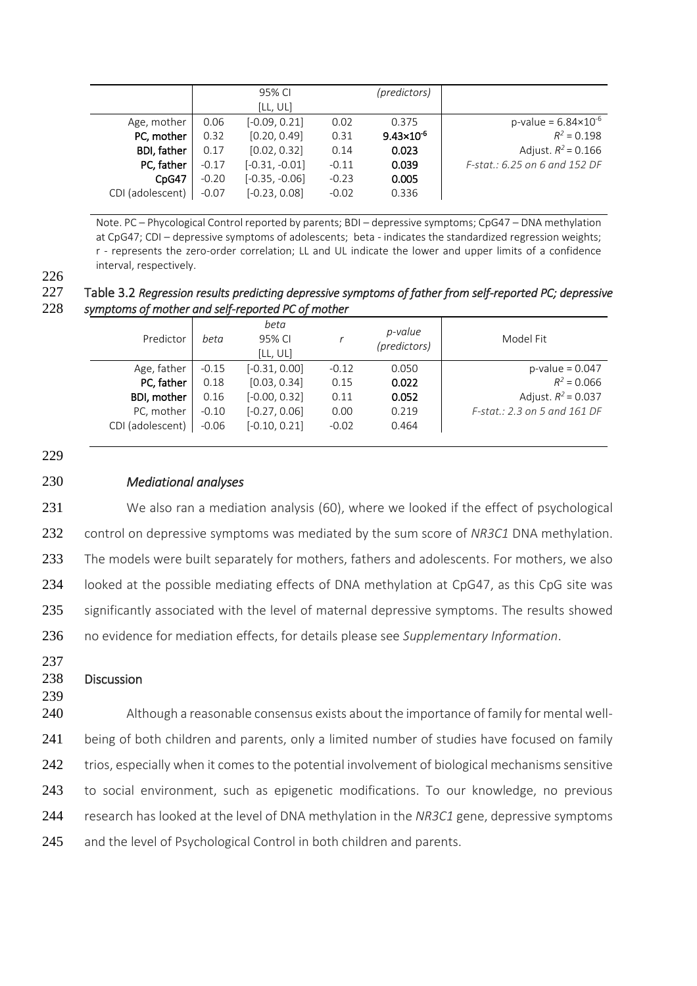|                    |         | 95% CI           |         | (predictors)          |                                 |
|--------------------|---------|------------------|---------|-----------------------|---------------------------------|
|                    |         | [LL, UL]         |         |                       |                                 |
| Age, mother        | 0.06    | $[-0.09, 0.21]$  | 0.02    | 0.375                 | p-value = $6.84 \times 10^{-6}$ |
| PC, mother         | 0.32    | [0.20, 0.49]     | 0.31    | $9.43 \times 10^{-6}$ | $R^2 = 0.198$                   |
| <b>BDI, father</b> | 0.17    | [0.02, 0.32]     | 0.14    | 0.023                 | Adjust. $R^2$ = 0.166           |
| PC, father         | $-0.17$ | $[-0.31, -0.01]$ | $-0.11$ | 0.039                 | F-stat.: 6.25 on 6 and 152 DF   |
| CpG47              | $-0.20$ | $[-0.35, -0.06]$ | $-0.23$ | 0.005                 |                                 |
| CDI (adolescent)   | $-0.07$ | $[-0.23, 0.08]$  | $-0.02$ | 0.336                 |                                 |

Note. PC – Phycological Control reported by parents; BDI – depressive symptoms; CpG47 – DNA methylation at CpG47; CDI – depressive symptoms of adolescents; beta - indicates the standardized regression weights; r - represents the zero-order correlation; LL and UL indicate the lower and upper limits of a confidence interval, respectively.

226

227 Table 3.2 *Regression results predicting depressive symptoms of father from self-reported PC; depressive*  symptoms of mother and self-reported PC of mother

| Predictor        | beta    | beta<br>95% CI<br>[LL, UL] |         | p-value<br>(predictors) | Model Fit                    |
|------------------|---------|----------------------------|---------|-------------------------|------------------------------|
| Age, father      | $-0.15$ | $[-0.31, 0.00]$            | $-0.12$ | 0.050                   | $p$ -value = 0.047           |
| PC, father       | 0.18    | [0.03, 0.34]               | 0.15    | 0.022                   | $R^2 = 0.066$                |
| BDI, mother      | 0.16    | $[-0.00, 0.32]$            | 0.11    | 0.052                   | Adjust. $R^2$ = 0.037        |
| PC, mother       | $-0.10$ | $[-0.27, 0.06]$            | 0.00    | 0.219                   | F-stat.: 2.3 on 5 and 161 DF |
| CDI (adolescent) | $-0.06$ | $[-0.10, 0.21]$            | $-0.02$ | 0.464                   |                              |

229

# 230 *Mediational analyses*

231 We also ran a mediation analysis (60), where we looked if the effect of psychological 232 control on depressive symptoms was mediated by the sum score of *NR3C1* DNA methylation. 233 The models were built separately for mothers, fathers and adolescents. For mothers, we also 234 looked at the possible mediating effects of DNA methylation at CpG47, as this CpG site was 235 significantly associated with the level of maternal depressive symptoms. The results showed 236 no evidence for mediation effects, for details please see *Supplementary Information*.

237

# 238 Discussion

239

240 Although a reasonable consensus exists about the importance of family for mental well-241 being of both children and parents, only a limited number of studies have focused on family 242 trios, especially when it comes to the potential involvement of biological mechanisms sensitive 243 to social environment, such as epigenetic modifications. To our knowledge, no previous 244 research has looked at the level of DNA methylation in the *NR3C1* gene, depressive symptoms 245 and the level of Psychological Control in both children and parents.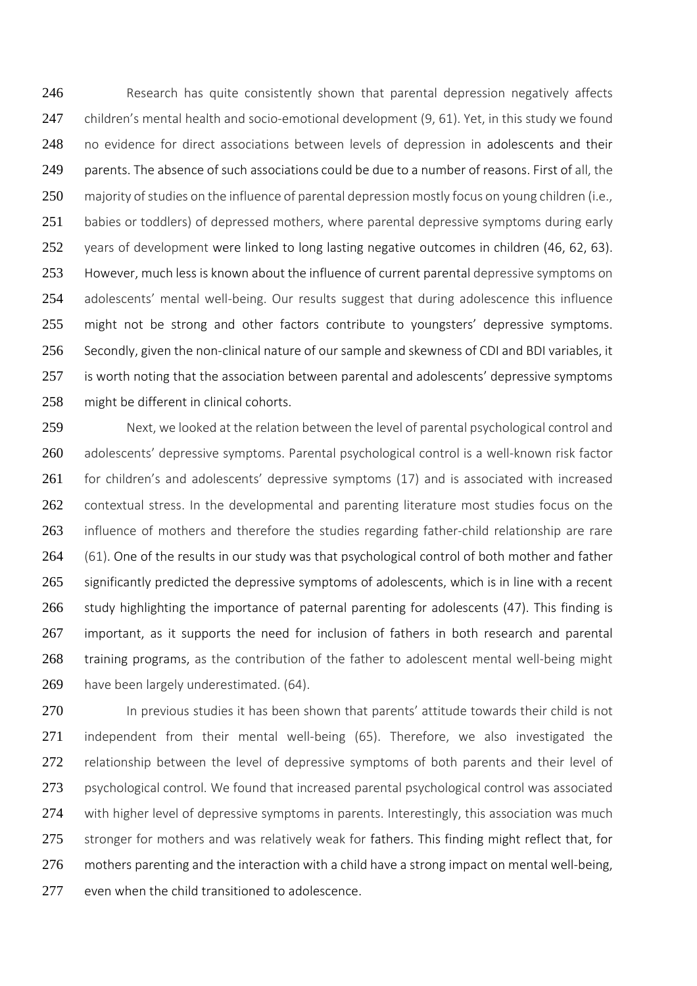246 Research has quite consistently shown that parental depression negatively affects 247 children's mental health and socio-emotional development (9, 61). Yet, in this study we found 248 no evidence for direct associations between levels of depression in adolescents and their 249 parents. The absence of such associations could be due to a number of reasons. First of all, the 250 majority of studies on the influence of parental depression mostly focus on young children (i.e., 251 babies or toddlers) of depressed mothers, where parental depressive symptoms during early 252 years of development were linked to long lasting negative outcomes in children (46, 62, 63). 253 However, much less is known about the influence of current parental depressive symptoms on 254 adolescents' mental well-being. Our results suggest that during adolescence this influence 255 might not be strong and other factors contribute to youngsters' depressive symptoms. 256 Secondly, given the non-clinical nature of our sample and skewness of CDI and BDI variables, it 257 is worth noting that the association between parental and adolescents' depressive symptoms 258 might be different in clinical cohorts.

259 Next, we looked at the relation between the level of parental psychological control and 260 adolescents' depressive symptoms. Parental psychological control is a well-known risk factor 261 for children's and adolescents' depressive symptoms (17) and is associated with increased 262 contextual stress. In the developmental and parenting literature most studies focus on the 263 influence of mothers and therefore the studies regarding father-child relationship are rare 264 (61). One of the results in our study was that psychological control of both mother and father 265 significantly predicted the depressive symptoms of adolescents, which is in line with a recent 266 study highlighting the importance of paternal parenting for adolescents (47). This finding is 267 important, as it supports the need for inclusion of fathers in both research and parental 268 training programs, as the contribution of the father to adolescent mental well-being might 269 have been largely underestimated. (64).

270 In previous studies it has been shown that parents' attitude towards their child is not 271 independent from their mental well-being (65). Therefore, we also investigated the 272 relationship between the level of depressive symptoms of both parents and their level of 273 psychological control. We found that increased parental psychological control was associated 274 with higher level of depressive symptoms in parents. Interestingly, this association was much 275 stronger for mothers and was relatively weak for fathers. This finding might reflect that, for 276 mothers parenting and the interaction with a child have a strong impact on mental well-being, 277 even when the child transitioned to adolescence.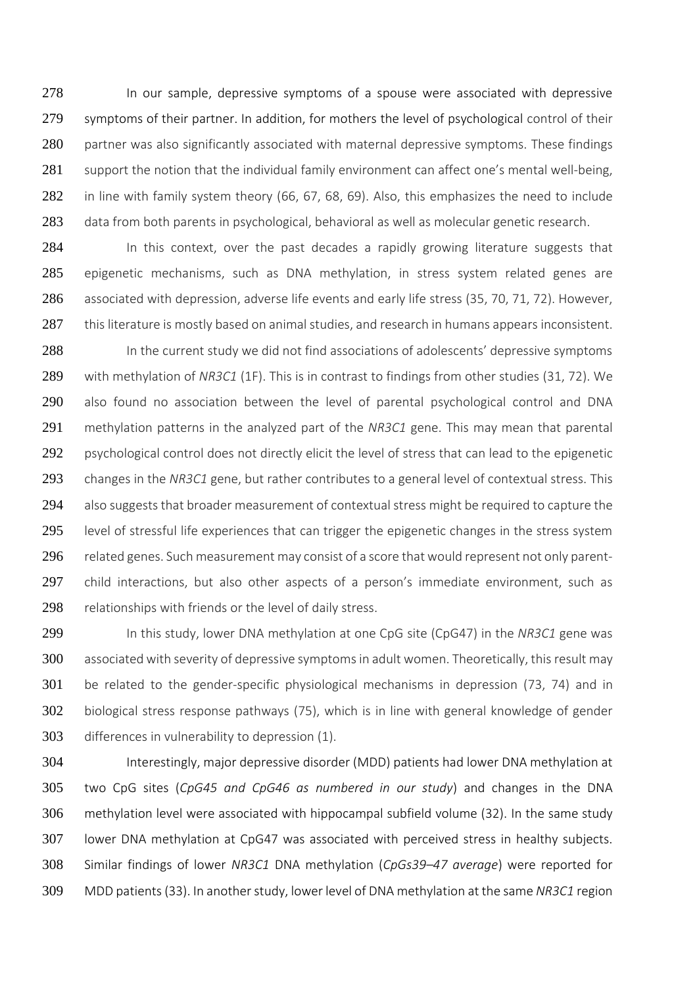278 In our sample, depressive symptoms of a spouse were associated with depressive 279 symptoms of their partner. In addition, for mothers the level of psychological control of their 280 partner was also significantly associated with maternal depressive symptoms. These findings 281 support the notion that the individual family environment can affect one's mental well-being, 282 in line with family system theory (66, 67, 68, 69). Also, this emphasizes the need to include 283 data from both parents in psychological, behavioral as well as molecular genetic research.

284 In this context, over the past decades a rapidly growing literature suggests that 285 epigenetic mechanisms, such as DNA methylation, in stress system related genes are 286 associated with depression, adverse life events and early life stress (35, 70, 71, 72). However, 287 this literature is mostly based on animal studies, and research in humans appears inconsistent.

288 In the current study we did not find associations of adolescents' depressive symptoms 289 with methylation of *NR3C1* (1F). This is in contrast to findings from other studies (31, 72). We 290 also found no association between the level of parental psychological control and DNA 291 methylation patterns in the analyzed part of the *NR3C1* gene. This may mean that parental 292 psychological control does not directly elicit the level of stress that can lead to the epigenetic 293 changes in the *NR3C1* gene, but rather contributes to a general level of contextual stress. This 294 also suggests that broader measurement of contextual stress might be required to capture the 295 level of stressful life experiences that can trigger the epigenetic changes in the stress system 296 related genes. Such measurement may consist of a score that would represent not only parent-297 child interactions, but also other aspects of a person's immediate environment, such as 298 relationships with friends or the level of daily stress.

 In this study, lower DNA methylation at one CpG site (CpG47) in the *NR3C1* gene was associated with severity of depressive symptoms in adult women. Theoretically, this result may be related to the gender-specific physiological mechanisms in depression (73, 74) and in biological stress response pathways (75), which is in line with general knowledge of gender differences in vulnerability to depression (1).

 Interestingly, major depressive disorder (MDD) patients had lower DNA methylation at two CpG sites (*CpG45 and CpG46 as numbered in our study*) and changes in the DNA methylation level were associated with hippocampal subfield volume (32). In the same study lower DNA methylation at CpG47 was associated with perceived stress in healthy subjects. Similar findings of lower *NR3C1* DNA methylation (*CpGs39–47 average*) were reported for MDD patients (33). In another study, lower level of DNA methylation at the same *NR3C1* region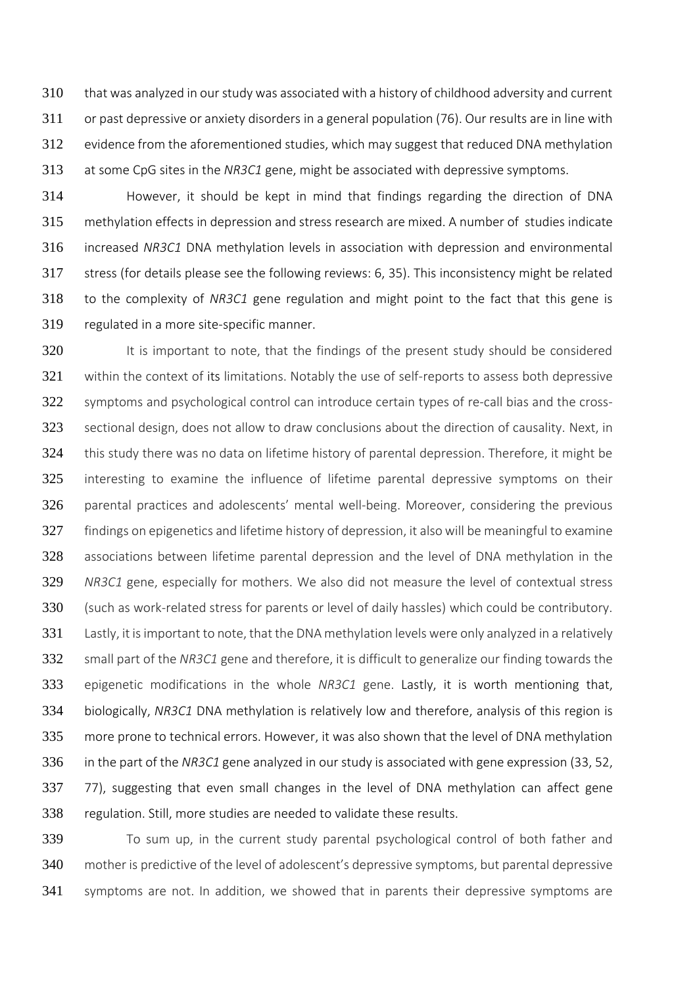that was analyzed in our study was associated with a history of childhood adversity and current or past depressive or anxiety disorders in a general population (76). Our results are in line with evidence from the aforementioned studies, which may suggest that reduced DNA methylation at some CpG sites in the *NR3C1* gene, might be associated with depressive symptoms.

 However, it should be kept in mind that findings regarding the direction of DNA methylation effects in depression and stress research are mixed. A number of studies indicate increased *NR3C1* DNA methylation levels in association with depression and environmental stress (for details please see the following reviews: 6, 35). This inconsistency might be related to the complexity of *NR3C1* gene regulation and might point to the fact that this gene is regulated in a more site-specific manner.

320 It is important to note, that the findings of the present study should be considered 321 within the context of its limitations. Notably the use of self-reports to assess both depressive symptoms and psychological control can introduce certain types of re-call bias and the cross- sectional design, does not allow to draw conclusions about the direction of causality. Next, in this study there was no data on lifetime history of parental depression. Therefore, it might be interesting to examine the influence of lifetime parental depressive symptoms on their parental practices and adolescents' mental well-being. Moreover, considering the previous 327 findings on epigenetics and lifetime history of depression, it also will be meaningful to examine associations between lifetime parental depression and the level of DNA methylation in the *NR3C1* gene, especially for mothers. We also did not measure the level of contextual stress (such as work-related stress for parents or level of daily hassles) which could be contributory. Lastly, it is important to note, that the DNA methylation levels were only analyzed in a relatively small part of the *NR3C1* gene and therefore, it is difficult to generalize our finding towards the epigenetic modifications in the whole *NR3C1* gene. Lastly, it is worth mentioning that, biologically, *NR3C1* DNA methylation is relatively low and therefore, analysis of this region is more prone to technical errors. However, it was also shown that the level of DNA methylation in the part of the *NR3C1* gene analyzed in our study is associated with gene expression (33, 52, 77), suggesting that even small changes in the level of DNA methylation can affect gene regulation. Still, more studies are needed to validate these results.

 To sum up, in the current study parental psychological control of both father and mother is predictive of the level of adolescent's depressive symptoms, but parental depressive symptoms are not. In addition, we showed that in parents their depressive symptoms are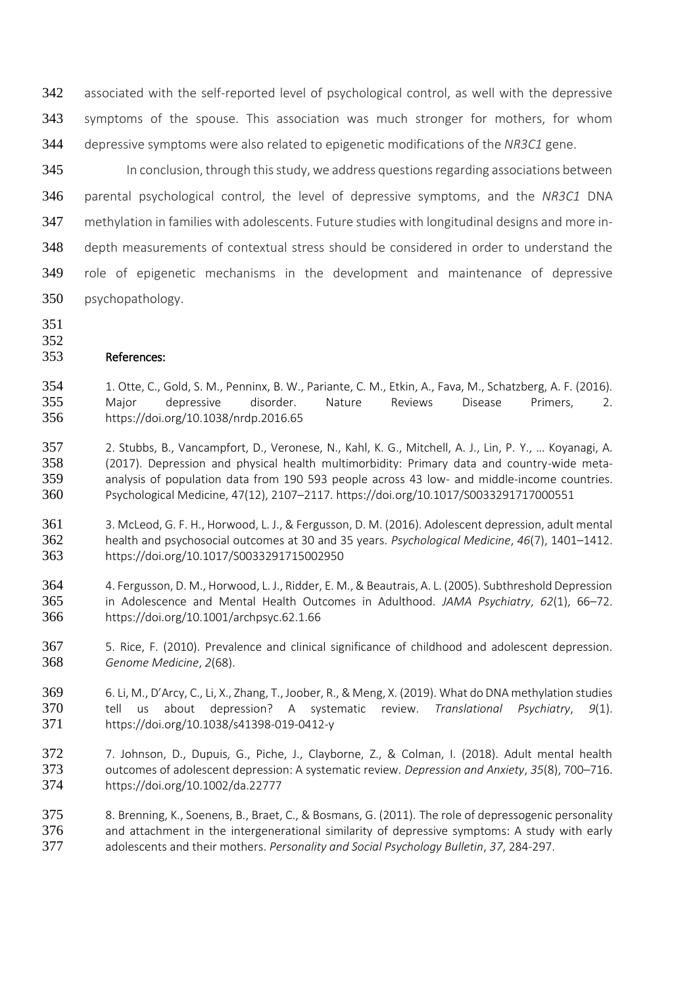associated with the self-reported level of psychological control, as well with the depressive symptoms of the spouse. This association was much stronger for mothers, for whom depressive symptoms were also related to epigenetic modifications of the *NR3C1* gene.

 In conclusion, through this study, we address questions regarding associations between parental psychological control, the level of depressive symptoms, and the *NR3C1* DNA methylation in families with adolescents. Future studies with longitudinal designs and more in- depth measurements of contextual stress should be considered in order to understand the role of epigenetic mechanisms in the development and maintenance of depressive psychopathology.

- 
- 

# References:

- 1. Otte, C., Gold, S. M., Penninx, B. W., Pariante, C. M., Etkin, A., Fava, M., Schatzberg, A. F. (2016). Major depressive disorder. Nature Reviews Disease Primers, 2. https://doi.org/10.1038/nrdp.2016.65
- 2. Stubbs, B., Vancampfort, D., Veronese, N., Kahl, K. G., Mitchell, A. J., Lin, P. Y., … Koyanagi, A. (2017). Depression and physical health multimorbidity: Primary data and country-wide meta- analysis of population data from 190 593 people across 43 low- and middle-income countries. Psychological Medicine, 47(12), 2107–2117. https://doi.org/10.1017/S0033291717000551
- 3. McLeod, G. F. H., Horwood, L. J., & Fergusson, D. M. (2016). Adolescent depression, adult mental health and psychosocial outcomes at 30 and 35 years. *Psychological Medicine*, *46*(7), 1401–1412. https://doi.org/10.1017/S0033291715002950
- 4. Fergusson, D. M., Horwood, L. J., Ridder, E. M., & Beautrais, A. L. (2005). Subthreshold Depression in Adolescence and Mental Health Outcomes in Adulthood. *JAMA Psychiatry*, *62*(1), 66–72. https://doi.org/10.1001/archpsyc.62.1.66
- 5. Rice, F. (2010). Prevalence and clinical significance of childhood and adolescent depression. *Genome Medicine*, *2*(68).
- 6. Li, M., D'Arcy, C., Li, X., Zhang, T., Joober, R., & Meng, X. (2019). What do DNA methylation studies tell us about depression? A systematic review. *Translational Psychiatry*, *9*(1). https://doi.org/10.1038/s41398-019-0412-y
- 7. Johnson, D., Dupuis, G., Piche, J., Clayborne, Z., & Colman, I. (2018). Adult mental health outcomes of adolescent depression: A systematic review. *Depression and Anxiety*, *35*(8), 700–716. https://doi.org/10.1002/da.22777

 8. Brenning, K., Soenens, B., Braet, C., & Bosmans, G. (2011). The role of depressogenic personality and attachment in the intergenerational similarity of depressive symptoms: A study with early adolescents and their mothers. *Personality and Social Psychology Bulletin*, *37*, 284-297.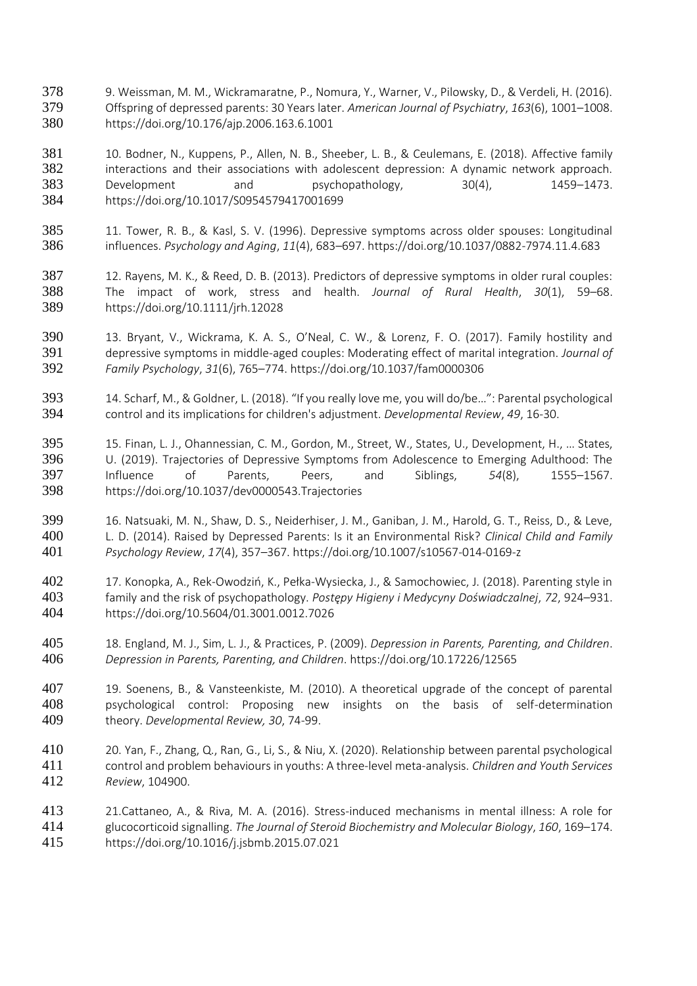- 9. Weissman, M. M., Wickramaratne, P., Nomura, Y., Warner, V., Pilowsky, D., & Verdeli, H. (2016). Offspring of depressed parents: 30 Years later. *American Journal of Psychiatry*, *163*(6), 1001–1008. https://doi.org/10.176/ajp.2006.163.6.1001
- 10. Bodner, N., Kuppens, P., Allen, N. B., Sheeber, L. B., & Ceulemans, E. (2018). Affective family 382 interactions and their associations with adolescent depression: A dynamic network approach. 383 Development and psychopathology, 30(4), 1459-1473. https://doi.org/10.1017/S0954579417001699
- 11. Tower, R. B., & Kasl, S. V. (1996). Depressive symptoms across older spouses: Longitudinal influences. *Psychology and Aging*, *11*(4), 683–697. https://doi.org/10.1037/0882-7974.11.4.683
- 12. Rayens, M. K., & Reed, D. B. (2013). Predictors of depressive symptoms in older rural couples: The impact of work, stress and health. *Journal of Rural Health*, *30*(1), 59–68. https://doi.org/10.1111/jrh.12028
- 13. Bryant, V., Wickrama, K. A. S., O'Neal, C. W., & Lorenz, F. O. (2017). Family hostility and depressive symptoms in middle-aged couples: Moderating effect of marital integration. *Journal of Family Psychology*, *31*(6), 765–774. https://doi.org/10.1037/fam0000306
- 14. Scharf, M., & Goldner, L. (2018). "If you really love me, you will do/be…": Parental psychological control and its implications for children's adjustment. *Developmental Review*, *49*, 16-30.
- 15. Finan, L. J., Ohannessian, C. M., Gordon, M., Street, W., States, U., Development, H., … States, U. (2019). Trajectories of Depressive Symptoms from Adolescence to Emerging Adulthood: The Influence of Parents, Peers, and Siblings, *54*(8), 1555–1567. https://doi.org/10.1037/dev0000543.Trajectories
- 16. Natsuaki, M. N., Shaw, D. S., Neiderhiser, J. M., Ganiban, J. M., Harold, G. T., Reiss, D., & Leve, L. D. (2014). Raised by Depressed Parents: Is it an Environmental Risk? *Clinical Child and Family Psychology Review*, *17*(4), 357–367. https://doi.org/10.1007/s10567-014-0169-z
- 17. Konopka, A., Rek-Owodziń, K., Pełka-Wysiecka, J., & Samochowiec, J. (2018). Parenting style in family and the risk of psychopathology. *Postępy Higieny i Medycyny Doświadczalnej*, *72*, 924–931. https://doi.org/10.5604/01.3001.0012.7026
- 18. England, M. J., Sim, L. J., & Practices, P. (2009). *Depression in Parents, Parenting, and Children*. *Depression in Parents, Parenting, and Children*. https://doi.org/10.17226/12565
- 19. Soenens, B., & Vansteenkiste, M. (2010). A theoretical upgrade of the concept of parental psychological control: Proposing new insights on the basis of self-determination theory. *Developmental Review, 30*, 74-99.
- 20. Yan, F., Zhang, Q., Ran, G., Li, S., & Niu, X. (2020). Relationship between parental psychological control and problem behaviours in youths: A three-level meta-analysis. *Children and Youth Services Review*, 104900.
- 21.Cattaneo, A., & Riva, M. A. (2016). Stress-induced mechanisms in mental illness: A role for glucocorticoid signalling. *The Journal of Steroid Biochemistry and Molecular Biology*, *160*, 169–174. https://doi.org/10.1016/j.jsbmb.2015.07.021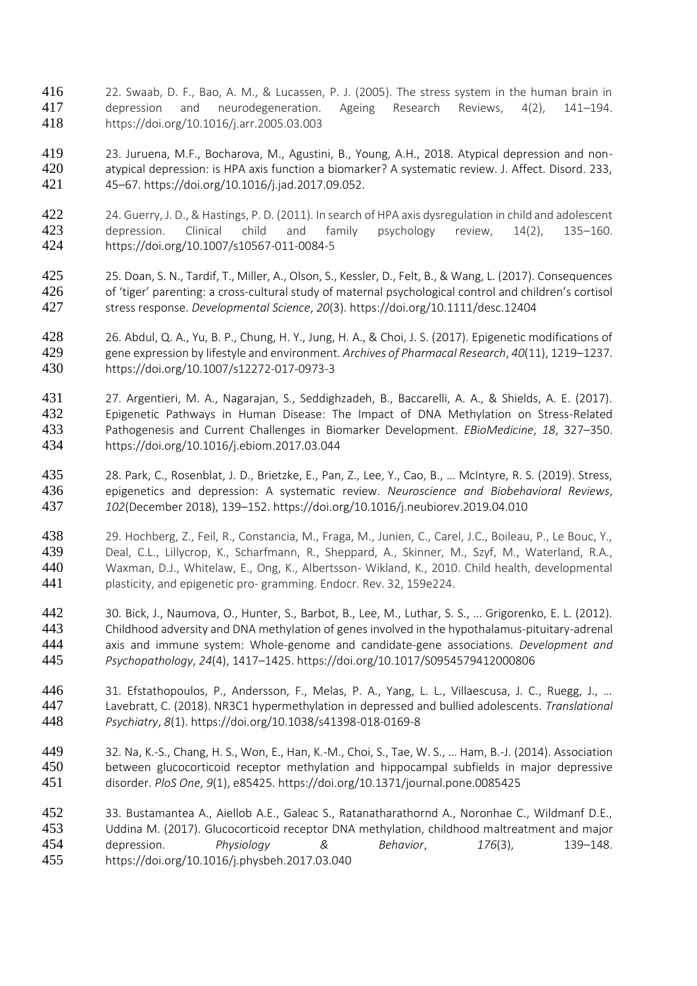- 22. Swaab, D. F., Bao, A. M., & Lucassen, P. J. (2005). The stress system in the human brain in depression and neurodegeneration. Ageing Research Reviews, 4(2), 141–194. https://doi.org/10.1016/j.arr.2005.03.003
- 23. Juruena, M.F., Bocharova, M., Agustini, B., Young, A.H., 2018. Atypical depression and non- atypical depression: is HPA axis function a biomarker? A systematic review. J. Affect. Disord. 233, 45–67. https://doi.org/10.1016/j.jad.2017.09.052.
- 422 24. Guerry, J. D., & Hastings, P. D. (2011). In search of HPA axis dysregulation in child and adolescent<br>423 depression. Clinical child and family psychology review, 14(2), 135–160. 423 depression. Clinical child and family psychology review, 14(2), 135–160. https://doi.org/10.1007/s10567-011-0084-5
- 25. Doan, S. N., Tardif, T., Miller, A., Olson, S., Kessler, D., Felt, B., & Wang, L. (2017). Consequences of 'tiger' parenting: a cross-cultural study of maternal psychological control and children's cortisol stress response. *Developmental Science*, *20*(3). https://doi.org/10.1111/desc.12404
- 26. Abdul, Q. A., Yu, B. P., Chung, H. Y., Jung, H. A., & Choi, J. S. (2017). Epigenetic modifications of gene expression by lifestyle and environment. *Archives of Pharmacal Research*, *40*(11), 1219–1237. https://doi.org/10.1007/s12272-017-0973-3
- 27. Argentieri, M. A., Nagarajan, S., Seddighzadeh, B., Baccarelli, A. A., & Shields, A. E. (2017). Epigenetic Pathways in Human Disease: The Impact of DNA Methylation on Stress-Related Pathogenesis and Current Challenges in Biomarker Development. *EBioMedicine*, *18*, 327–350. https://doi.org/10.1016/j.ebiom.2017.03.044
- 28. Park, C., Rosenblat, J. D., Brietzke, E., Pan, Z., Lee, Y., Cao, B., … McIntyre, R. S. (2019). Stress, epigenetics and depression: A systematic review. *Neuroscience and Biobehavioral Reviews*, *102*(December 2018), 139–152. https://doi.org/10.1016/j.neubiorev.2019.04.010
- 29. Hochberg, Z., Feil, R., Constancia, M., Fraga, M., Junien, C., Carel, J.C., Boileau, P., Le Bouc, Y., Deal, C.L., Lillycrop, K., Scharfmann, R., Sheppard, A., Skinner, M., Szyf, M., Waterland, R.A., Waxman, D.J., Whitelaw, E., Ong, K., Albertsson- Wikland, K., 2010. Child health, developmental plasticity, and epigenetic pro- gramming. Endocr. Rev. 32, 159e224.
- 30. Bick, J., Naumova, O., Hunter, S., Barbot, B., Lee, M., Luthar, S. S., … Grigorenko, E. L. (2012). Childhood adversity and DNA methylation of genes involved in the hypothalamus-pituitary-adrenal axis and immune system: Whole-genome and candidate-gene associations. *Development and Psychopathology*, *24*(4), 1417–1425. https://doi.org/10.1017/S0954579412000806
- 31. Efstathopoulos, P., Andersson, F., Melas, P. A., Yang, L. L., Villaescusa, J. C., Ruegg, J., … Lavebratt, C. (2018). NR3C1 hypermethylation in depressed and bullied adolescents. *Translational Psychiatry*, *8*(1). https://doi.org/10.1038/s41398-018-0169-8
- 32. Na, K.-S., Chang, H. S., Won, E., Han, K.-M., Choi, S., Tae, W. S., … Ham, B.-J. (2014). Association between glucocorticoid receptor methylation and hippocampal subfields in major depressive disorder. *PloS One*, *9*(1), e85425. https://doi.org/10.1371/journal.pone.0085425
- 33. Bustamantea A., Aiellob A.E., Galeac S., Ratanatharathornd A., Noronhae C., Wildmanf D.E., Uddina M. (2017). Glucocorticoid receptor DNA methylation, childhood maltreatment and major depression. *Physiology & Behavior*, *176*(3), 139–148. https://doi.org/10.1016/j.physbeh.2017.03.040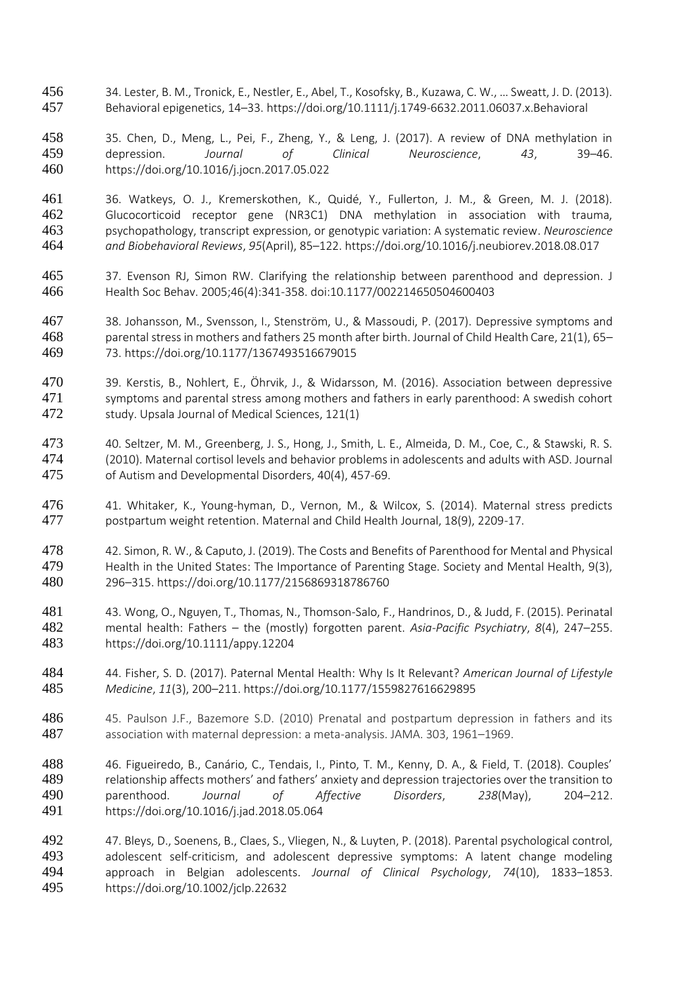- 34. Lester, B. M., Tronick, E., Nestler, E., Abel, T., Kosofsky, B., Kuzawa, C. W., … Sweatt, J. D. (2013). Behavioral epigenetics, 14–33. https://doi.org/10.1111/j.1749-6632.2011.06037.x.Behavioral
- 35. Chen, D., Meng, L., Pei, F., Zheng, Y., & Leng, J. (2017). A review of DNA methylation in depression. *Journal of Clinical Neuroscience*, *43*, 39–46. https://doi.org/10.1016/j.jocn.2017.05.022
- 461 36. Watkeys, O. J., Kremerskothen, K., Quidé, Y., Fullerton, J. M., & Green, M. J. (2018).<br>462 Glucocorticoid receptor gene (NR3C1) DNA methylation in association with trauma, Glucocorticoid receptor gene (NR3C1) DNA methylation in association with trauma, psychopathology, transcript expression, or genotypic variation: A systematic review. *Neuroscience and Biobehavioral Reviews*, *95*(April), 85–122. https://doi.org/10.1016/j.neubiorev.2018.08.017
- 37. Evenson RJ, Simon RW. Clarifying the relationship between parenthood and depression. J Health Soc Behav. 2005;46(4):341‐358. doi:10.1177/002214650504600403
- 38. Johansson, M., Svensson, I., Stenström, U., & Massoudi, P. (2017). Depressive symptoms and parental stress in mothers and fathers 25 month after birth. Journal of Child Health Care, 21(1), 65– 73. https://doi.org/10.1177/1367493516679015
- 39. Kerstis, B., Nohlert, E., Öhrvik, J., & Widarsson, M. (2016). Association between depressive 471 symptoms and parental stress among mothers and fathers in early parenthood: A swedish cohort study. Upsala Journal of Medical Sciences, 121(1)
- 40. Seltzer, M. M., Greenberg, J. S., Hong, J., Smith, L. E., Almeida, D. M., Coe, C., & Stawski, R. S. (2010). Maternal cortisol levels and behavior problems in adolescents and adults with ASD. Journal of Autism and Developmental Disorders, 40(4), 457-69.
- 41. Whitaker, K., Young-hyman, D., Vernon, M., & Wilcox, S. (2014). Maternal stress predicts postpartum weight retention. Maternal and Child Health Journal, 18(9), 2209-17.
- 42. Simon, R. W., & Caputo, J. (2019). The Costs and Benefits of Parenthood for Mental and Physical 479 Health in the United States: The Importance of Parenting Stage. Society and Mental Health, 9(3), 296–315. https://doi.org/10.1177/2156869318786760
- 43. Wong, O., Nguyen, T., Thomas, N., Thomson-Salo, F., Handrinos, D., & Judd, F. (2015). Perinatal mental health: Fathers – the (mostly) forgotten parent. *Asia-Pacific Psychiatry*, *8*(4), 247–255. https://doi.org/10.1111/appy.12204
- 44. Fisher, S. D. (2017). Paternal Mental Health: Why Is It Relevant? *American Journal of Lifestyle Medicine*, *11*(3), 200–211. https://doi.org/10.1177/1559827616629895
- 486 45. Paulson J.F., Bazemore S.D. (2010) Prenatal and postpartum depression in fathers and its association with maternal depression: a meta-analysis. JAMA. 303, 1961–1969.
- 46. Figueiredo, B., Canário, C., Tendais, I., Pinto, T. M., Kenny, D. A., & Field, T. (2018). Couples' 489 relationship affects mothers' and fathers' anxiety and depression trajectories over the transition to parenthood. *Journal of Affective Disorders*, *238*(May), 204–212. https://doi.org/10.1016/j.jad.2018.05.064
- 47. Bleys, D., Soenens, B., Claes, S., Vliegen, N., & Luyten, P. (2018). Parental psychological control, adolescent self-criticism, and adolescent depressive symptoms: A latent change modeling approach in Belgian adolescents. *Journal of Clinical Psychology*, *74*(10), 1833–1853. https://doi.org/10.1002/jclp.22632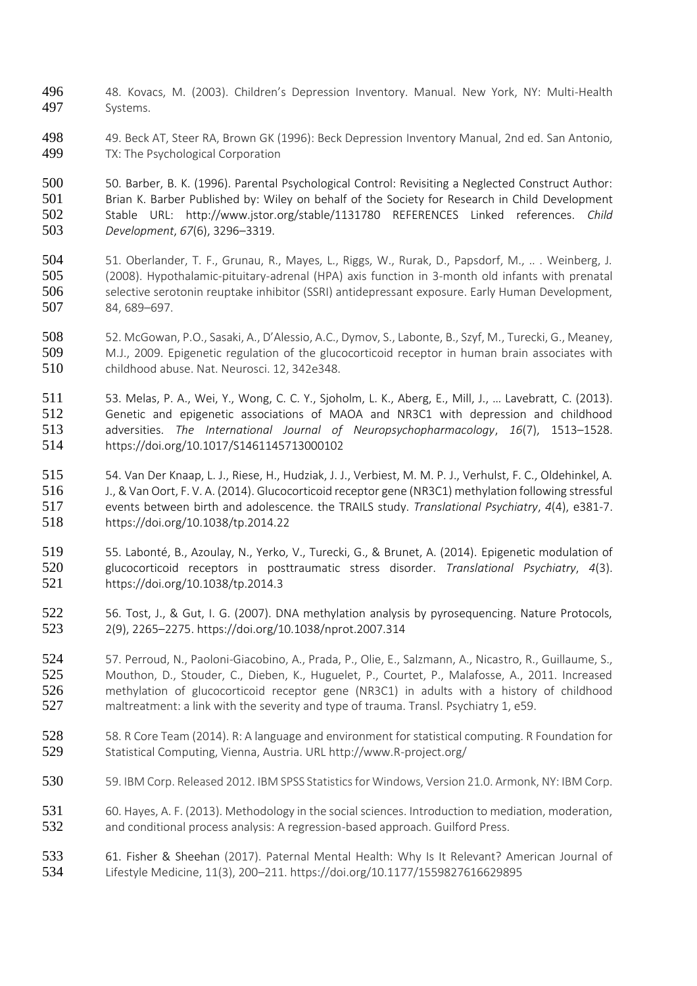- 48. Kovacs, M. (2003). Children's Depression Inventory. Manual. New York, NY: Multi-Health Systems.
- 498 49. Beck AT, Steer RA, Brown GK (1996): Beck Depression Inventory Manual, 2nd ed. San Antonio,<br>499 TX: The Psychological Corporation TX: The Psychological Corporation

500 50. Barber, B. K. (1996). Parental Psychological Control: Revisiting a Neglected Construct Author:<br>501 Brian K. Barber Published by: Wiley on behalf of the Society for Research in Child Development 501 Brian K. Barber Published by: Wiley on behalf of the Society for Research in Child Development<br>502 Stable URL: http://www.jstor.org/stable/1131780 REFERENCES Linked references. Child Stable URL: http://www.jstor.org/stable/1131780 REFERENCES Linked references. *Child Development*, *67*(6), 3296–3319.

- 51. Oberlander, T. F., Grunau, R., Mayes, L., Riggs, W., Rurak, D., Papsdorf, M., .. . Weinberg, J. (2008). Hypothalamic‐pituitary‐adrenal (HPA) axis function in 3‐month old infants with prenatal selective serotonin reuptake inhibitor (SSRI) antidepressant exposure. Early Human Development, 84, 689–697.
- 52. McGowan, P.O., Sasaki, A., D'Alessio, A.C., Dymov, S., Labonte, B., Szyf, M., Turecki, G., Meaney, M.J., 2009. Epigenetic regulation of the glucocorticoid receptor in human brain associates with childhood abuse. Nat. Neurosci. 12, 342e348.
- 53. Melas, P. A., Wei, Y., Wong, C. C. Y., Sjoholm, L. K., Aberg, E., Mill, J., … Lavebratt, C. (2013). Genetic and epigenetic associations of MAOA and NR3C1 with depression and childhood adversities. *The International Journal of Neuropsychopharmacology*, *16*(7), 1513–1528. https://doi.org/10.1017/S1461145713000102
- 54. Van Der Knaap, L. J., Riese, H., Hudziak, J. J., Verbiest, M. M. P. J., Verhulst, F. C., Oldehinkel, A. J., & Van Oort, F. V. A. (2014). Glucocorticoid receptor gene (NR3C1) methylation following stressful events between birth and adolescence. the TRAILS study. *Translational Psychiatry*, *4*(4), e381-7. https://doi.org/10.1038/tp.2014.22
- 55. Labonté, B., Azoulay, N., Yerko, V., Turecki, G., & Brunet, A. (2014). Epigenetic modulation of glucocorticoid receptors in posttraumatic stress disorder. *Translational Psychiatry*, *4*(3). https://doi.org/10.1038/tp.2014.3
- 56. Tost, J., & Gut, I. G. (2007). DNA methylation analysis by pyrosequencing. Nature Protocols, 2(9), 2265–2275. https://doi.org/10.1038/nprot.2007.314
- 57. Perroud, N., Paoloni-Giacobino, A., Prada, P., Olie, E., Salzmann, A., Nicastro, R., Guillaume, S., Mouthon, D., Stouder, C., Dieben, K., Huguelet, P., Courtet, P., Malafosse, A., 2011. Increased methylation of glucocorticoid receptor gene (NR3C1) in adults with a history of childhood maltreatment: a link with the severity and type of trauma. Transl. Psychiatry 1, e59.
- 58. R Core Team (2014). R: A language and environment for statistical computing. R Foundation for Statistical Computing, Vienna, Austria. URL http://www.R-project.org/
- 530 59. IBM Corp. Released 2012. IBM SPSS Statistics for Windows, Version 21.0. Armonk, NY: IBM Corp.
- 60. Hayes, A. F. (2013). Methodology in the social sciences. Introduction to mediation, moderation, and conditional process analysis: A regression-based approach. Guilford Press.
- 61. Fisher & Sheehan (2017). Paternal Mental Health: Why Is It Relevant? American Journal of Lifestyle Medicine, 11(3), 200–211. https://doi.org/10.1177/1559827616629895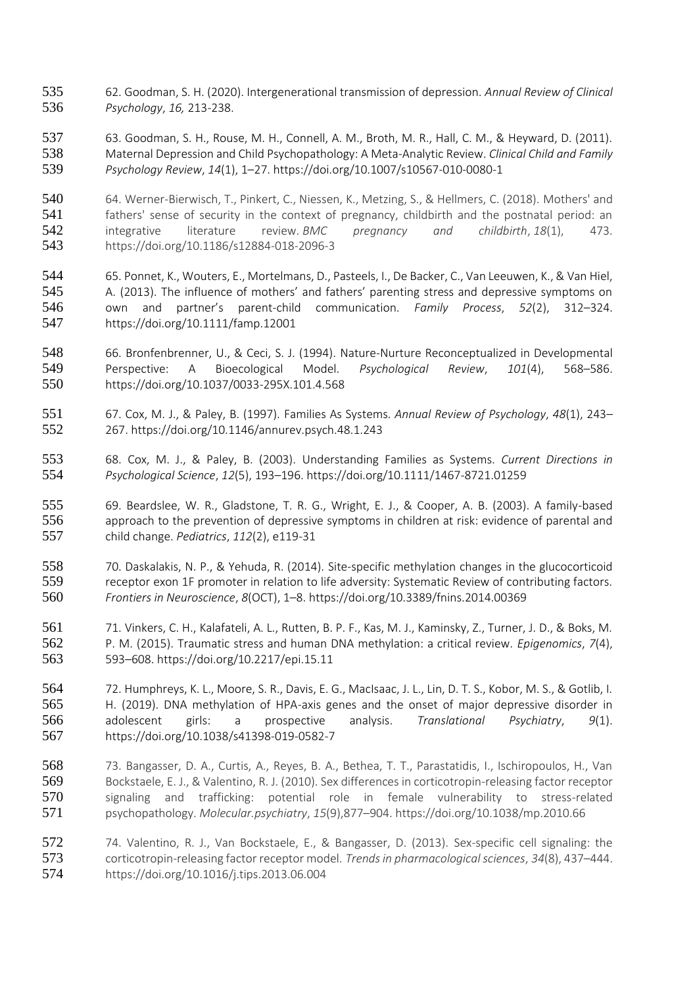- 62. Goodman, S. H. (2020). Intergenerational transmission of depression. *Annual Review of Clinical Psychology*, *16,* 213-238.
- 63. Goodman, S. H., Rouse, M. H., Connell, A. M., Broth, M. R., Hall, C. M., & Heyward, D. (2011). Maternal Depression and Child Psychopathology: A Meta-Analytic Review. *Clinical Child and Family Psychology Review*, *14*(1), 1–27. https://doi.org/10.1007/s10567-010-0080-1
- 540 64. Werner-Bierwisch, T., Pinkert, C., Niessen, K., Metzing, S., & Hellmers, C. (2018). Mothers' and<br>541 fathers' sense of security in the context of pregnancy, childbirth and the postnatal period: an fathers' sense of security in the context of pregnancy, childbirth and the postnatal period: an integrative literature review. *BMC pregnancy and childbirth*, *18*(1), 473. https://doi.org/10.1186/s12884-018-2096-3
- 65. Ponnet, K., Wouters, E., Mortelmans, D., Pasteels, I., De Backer, C., Van Leeuwen, K., & Van Hiel, A. (2013). The influence of mothers' and fathers' parenting stress and depressive symptoms on own and partner's parent-child communication. *Family Process*, *52*(2), 312–324. https://doi.org/10.1111/famp.12001
- 66. Bronfenbrenner, U., & Ceci, S. J. (1994). Nature-Nurture Reconceptualized in Developmental Perspective: A Bioecological Model. *Psychological Review*, *101*(4), 568–586. https://doi.org/10.1037/0033-295X.101.4.568
- 67. Cox, M. J., & Paley, B. (1997). Families As Systems. *Annual Review of Psychology*, *48*(1), 243– 267. https://doi.org/10.1146/annurev.psych.48.1.243
- 68. Cox, M. J., & Paley, B. (2003). Understanding Families as Systems. *Current Directions in Psychological Science*, *12*(5), 193–196. https://doi.org/10.1111/1467-8721.01259
- 69. Beardslee, W. R., Gladstone, T. R. G., Wright, E. J., & Cooper, A. B. (2003). A family-based 556 approach to the prevention of depressive symptoms in children at risk: evidence of parental and child change. *Pediatrics*, *112*(2), e119-31
- 70. Daskalakis, N. P., & Yehuda, R. (2014). Site-specific methylation changes in the glucocorticoid 559 receptor exon 1F promoter in relation to life adversity: Systematic Review of contributing factors. *Frontiers in Neuroscience*, *8*(OCT), 1–8. https://doi.org/10.3389/fnins.2014.00369
- 71. Vinkers, C. H., Kalafateli, A. L., Rutten, B. P. F., Kas, M. J., Kaminsky, Z., Turner, J. D., & Boks, M. P. M. (2015). Traumatic stress and human DNA methylation: a critical review. *Epigenomics*, *7*(4), 593–608. https://doi.org/10.2217/epi.15.11
- 72. Humphreys, K. L., Moore, S. R., Davis, E. G., MacIsaac, J. L., Lin, D. T. S., Kobor, M. S., & Gotlib, I. H. (2019). DNA methylation of HPA-axis genes and the onset of major depressive disorder in adolescent girls: a prospective analysis. *Translational Psychiatry*, *9*(1). https://doi.org/10.1038/s41398-019-0582-7
- 73. Bangasser, D. A., Curtis, A., Reyes, B. A., Bethea, T. T., Parastatidis, I., Ischiropoulos, H., Van Bockstaele, E. J., & Valentino, R. J. (2010). Sex differences in corticotropin-releasing factor receptor 570 signaling and trafficking: potential role in female vulnerability to stress-related psychopathology. *Molecular.psychiatry*, *15*(9),877–904. https://doi.org/10.1038/mp.2010.66
- 74. Valentino, R. J., Van Bockstaele, E., & Bangasser, D. (2013). Sex-specific cell signaling: the corticotropin-releasing factor receptor model. *Trends in pharmacological sciences*, *34*(8), 437–444. https://doi.org/10.1016/j.tips.2013.06.004